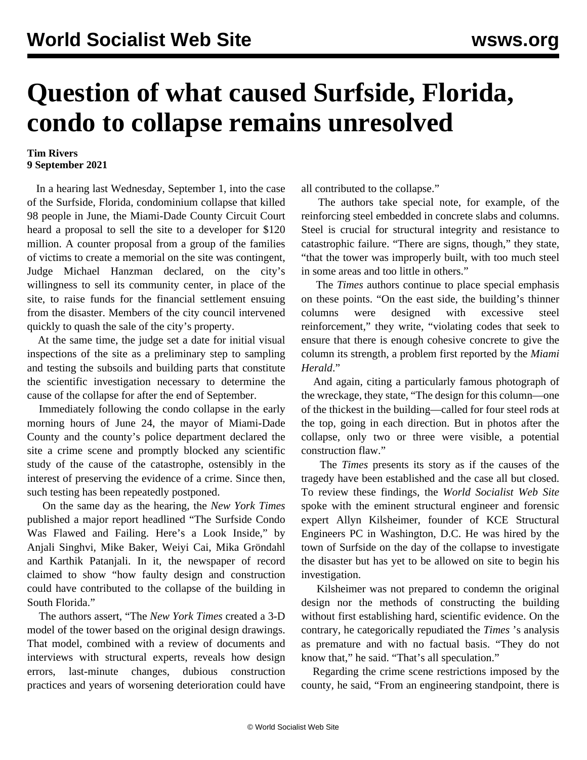## **Question of what caused Surfside, Florida, condo to collapse remains unresolved**

## **Tim Rivers 9 September 2021**

 In a hearing last Wednesday, September 1, into the case of the Surfside, Florida, condominium collapse that killed 98 people in June, the Miami-Dade County Circuit Court heard a proposal to sell the site to a developer for \$120 million. A counter proposal from a group of the families of victims to create a memorial on the site was contingent, Judge Michael Hanzman declared, on the city's willingness to sell its community center, in place of the site, to raise funds for the financial settlement ensuing from the disaster. Members of the city council intervened quickly to quash the sale of the city's property.

 At the same time, the judge set a date for initial visual inspections of the site as a preliminary step to sampling and testing the subsoils and building parts that constitute the scientific investigation necessary to determine the cause of the collapse for after the end of September.

 Immediately following the condo collapse in the early morning hours of June 24, the mayor of Miami-Dade County and the county's police department declared the site a crime scene and promptly blocked any scientific study of the cause of the catastrophe, ostensibly in the interest of preserving the evidence of a crime. Since then, such testing has been repeatedly postponed.

 On the same day as the hearing, the *New York Times* published a major report headlined "The Surfside Condo Was Flawed and Failing. Here's a Look Inside," by Anjali Singhvi, Mike Baker, Weiyi Cai, Mika Gröndahl and Karthik Patanjali. In it, the newspaper of record claimed to show "how faulty design and construction could have contributed to the collapse of the building in South Florida."

 The authors assert, "The *New York Times* created a 3-D model of the tower based on the original design drawings. That model, combined with a review of documents and interviews with structural experts, reveals how design errors, last-minute changes, dubious construction practices and years of worsening deterioration could have

all contributed to the collapse."

 The authors take special note, for example, of the reinforcing steel embedded in concrete slabs and columns. Steel is crucial for structural integrity and resistance to catastrophic failure. "There are signs, though," they state, "that the tower was improperly built, with too much steel in some areas and too little in others."

 The *Times* authors continue to place special emphasis on these points. "On the east side, the building's thinner columns were designed with excessive steel reinforcement," they write, "violating codes that seek to ensure that there is enough cohesive concrete to give the column its strength, a problem first reported by the *Miami Herald*."

 And again, citing a particularly famous photograph of the wreckage, they state, "The design for this column—one of the thickest in the building—called for four steel rods at the top, going in each direction. But in photos after the collapse, only two or three were visible, a potential construction flaw."

 The *Times* presents its story as if the causes of the tragedy have been established and the case all but closed. To review these findings, the *World Socialist Web Site* spoke with the eminent structural engineer and forensic expert Allyn Kilsheimer, founder of KCE Structural Engineers PC in Washington, D.C. He was hired by the town of Surfside on the day of the collapse to investigate the disaster but has yet to be allowed on site to begin his investigation.

 Kilsheimer was not prepared to condemn the original design nor the methods of constructing the building without first establishing hard, scientific evidence. On the contrary, he categorically repudiated the *Times* 's analysis as premature and with no factual basis. "They do not know that," he said. "That's all speculation."

 Regarding the crime scene restrictions imposed by the county, he said, "From an engineering standpoint, there is